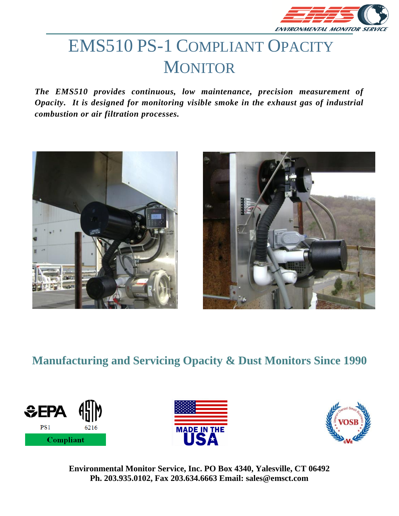

# EMS510 PS-1 COMPLIANT OPACITY **MONITOR**

*The EMS510 provides continuous, low maintenance, precision measurement of Opacity. It is designed for monitoring visible smoke in the exhaust gas of industrial combustion or air filtration processes.*





## **Manufacturing and Servicing Opacity & Dust Monitors Since 1990**





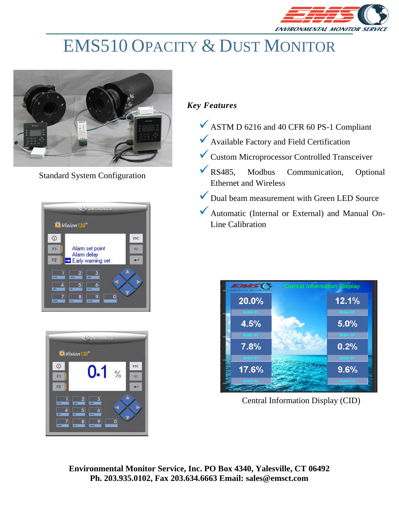

# EMS510 OPACITY & DUST MONITOR



Standard System Configuration





### *Key Features*

- ◆ ASTM D 6216 and 40 CFR 60 PS-1 Compliant
- ✓Available Factory and Field Certification
- ✓Custom Microprocessor Controlled Transceiver
- ✓RS485, Modbus Communication, Optional Ethernet and Wireless
- ✓Dual beam measurement with Green LED Source
- ◆ Automatic (Internal or External) and Manual On-Line Calibration



Central Information Display (CID)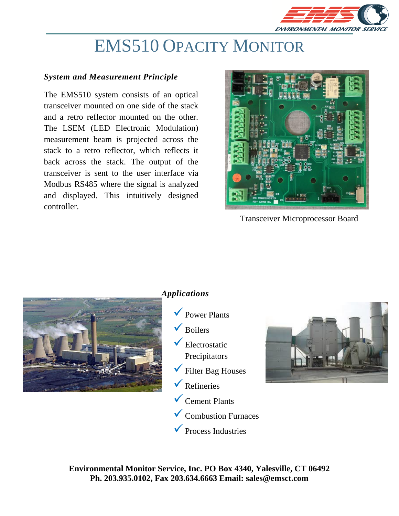

# EMS510 OPACITY MONITOR

#### *System and Measurement Principle*

The EMS510 system consists of an optical transceiver mounted on one side of the stack and a retro reflector mounted on the other. The LSEM (LED Electronic Modulation) measurement beam is projected across the stack to a retro reflector, which reflects it back across the stack. The output of the transceiver is sent to the user interface via Modbus RS485 where the signal is analyzed and displayed. This intuitively designed controller.



Transceiver Microprocessor Board



#### *Applications*

- $\sqrt{\overline{P}}$  Power Plants
- **Boilers**
- $\checkmark$  Electrostatic Precipitators
- ✓Filter Bag Houses
- $\sqrt{\overline{\text{Refiner}}}$
- ✓Cement Plants
- ✓Combustion Furnaces
- ✓Process Industries

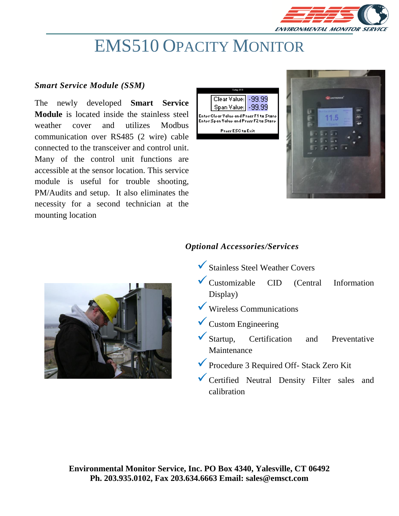

# EMS510 OPACITY MONITOR

### *Smart Service Module (SSM)*

The newly developed **Smart Service Module** is located inside the stainless steel weather cover and utilizes Modbus communication over RS485 (2 wire) cable connected to the transceiver and control unit. Many of the control unit functions are accessible at the sensor location. This service module is useful for trouble shooting, PM/Audits and setup. It also eliminates the necessity for a second technician at the mounting location







### *Optional Accessories/Services*

- ✓Stainless Steel Weather Covers
- ✓Customizable CID (Central Information Display)
- ✓ Wireless Communications
- $\checkmark$  Custom Engineering
- ✓Startup, Certification and Preventative Maintenance
- ✓Procedure 3 Required Off- Stack Zero Kit
- ✓Certified Neutral Density Filter sales and calibration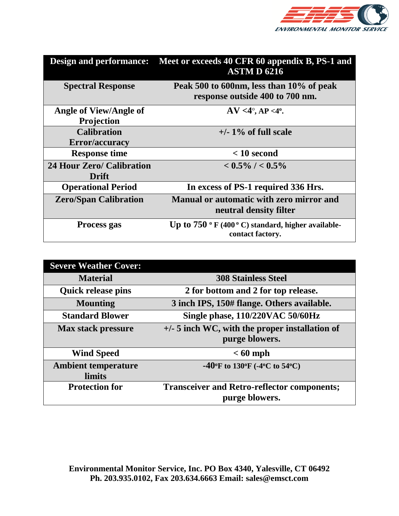

| <b>Design and performance:</b>   | Meet or exceeds 40 CFR 60 appendix B, PS-1 and<br><b>ASTMD 6216</b>         |
|----------------------------------|-----------------------------------------------------------------------------|
| <b>Spectral Response</b>         | Peak 500 to 600nm, less than 10% of peak<br>response outside 400 to 700 nm. |
| <b>Angle of View/Angle of</b>    | $AV < 4^{\circ}, AP < 4^{\circ}.$                                           |
| <b>Projection</b>                |                                                                             |
| <b>Calibration</b>               | $+/- 1\%$ of full scale                                                     |
| Error/accuracy                   |                                                                             |
| <b>Response time</b>             | $< 10$ second                                                               |
| <b>24 Hour Zero/ Calibration</b> | $< 0.5\%$ / $< 0.5\%$                                                       |
| Drift                            |                                                                             |
| <b>Operational Period</b>        | In excess of PS-1 required 336 Hrs.                                         |
| <b>Zero/Span Calibration</b>     | <b>Manual or automatic with zero mirror and</b>                             |
|                                  | neutral density filter                                                      |
| Process gas                      | Up to $750$ ° F (400 ° C) standard, higher available-<br>contact factory.   |

| <b>Severe Weather Cover:</b> |                                                                                            |
|------------------------------|--------------------------------------------------------------------------------------------|
| <b>Material</b>              | <b>308 Stainless Steel</b>                                                                 |
| <b>Quick release pins</b>    | 2 for bottom and 2 for top release.                                                        |
| <b>Mounting</b>              | 3 inch IPS, 150# flange. Others available.                                                 |
| <b>Standard Blower</b>       | Single phase, 110/220VAC 50/60Hz                                                           |
| <b>Max stack pressure</b>    | $+/-$ 5 inch WC, with the proper installation of                                           |
|                              | purge blowers.                                                                             |
| <b>Wind Speed</b>            | $< 60$ mph                                                                                 |
| <b>Ambient temperature</b>   | -40 $\rm{^{\circ}F}$ to 130 $\rm{^{\circ}F}$ (-4 $\rm{^{\circ}C}$ to 54 $\rm{^{\circ}C}$ ) |
| <b>limits</b>                |                                                                                            |
| <b>Protection for</b>        | <b>Transceiver and Retro-reflector components;</b>                                         |
|                              | purge blowers.                                                                             |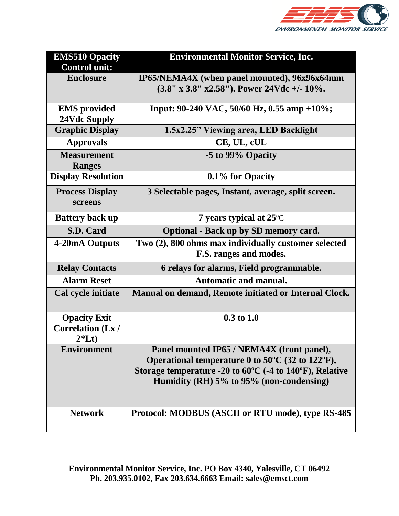

| <b>EMS510 Opacity</b><br><b>Control unit:</b> | <b>Environmental Monitor Service, Inc.</b>                        |
|-----------------------------------------------|-------------------------------------------------------------------|
| <b>Enclosure</b>                              | IP65/NEMA4X (when panel mounted), 96x96x64mm                      |
|                                               | $(3.8'' \times 3.8'' \times 2.58'')$ . Power 24Vdc +/- 10%.       |
| <b>EMS</b> provided                           | Input: 90-240 VAC, 50/60 Hz, 0.55 amp +10%;                       |
| 24Vdc Supply                                  |                                                                   |
| <b>Graphic Display</b>                        | 1.5x2.25" Viewing area, LED Backlight                             |
| <b>Approvals</b>                              | CE, UL, cUL                                                       |
| <b>Measurement</b><br><b>Ranges</b>           | -5 to 99% Opacity                                                 |
| <b>Display Resolution</b>                     | 0.1% for Opacity                                                  |
| <b>Process Display</b><br>screens             | 3 Selectable pages, Instant, average, split screen.               |
| <b>Battery back up</b>                        | 7 years typical at $25^{\circ}$ C                                 |
| S.D. Card                                     | <b>Optional - Back up by SD memory card.</b>                      |
| 4-20mA Outputs                                | Two (2), 800 ohms max individually customer selected              |
|                                               | F.S. ranges and modes.                                            |
| <b>Relay Contacts</b>                         | 6 relays for alarms, Field programmable.                          |
| <b>Alarm Reset</b>                            | <b>Automatic and manual.</b>                                      |
| Cal cycle initiate                            | Manual on demand, Remote initiated or Internal Clock.             |
| <b>Opacity Exit</b>                           | $0.3 \text{ to } 1.0$                                             |
| <b>Correlation (Lx/</b><br>$2*Lt$             |                                                                   |
| <b>Environment</b>                            | Panel mounted IP65 / NEMA4X (front panel),                        |
|                                               | Operational temperature 0 to 50°C (32 to 122°F),                  |
|                                               | Storage temperature -20 to $60^{\circ}$ C (-4 to 140°F), Relative |
|                                               | Humidity (RH) 5% to 95% (non-condensing)                          |
|                                               |                                                                   |
| <b>Network</b>                                | Protocol: MODBUS (ASCII or RTU mode), type RS-485                 |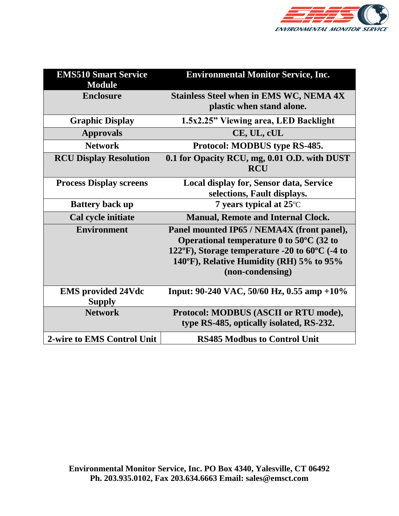

| <b>EMS510 Smart Service</b><br><b>Module</b> | <b>Environmental Monitor Service, Inc.</b>                                                                                                                                                                                     |
|----------------------------------------------|--------------------------------------------------------------------------------------------------------------------------------------------------------------------------------------------------------------------------------|
| <b>Enclosure</b>                             | <b>Stainless Steel when in EMS WC, NEMA 4X</b><br>plastic when stand alone.                                                                                                                                                    |
| <b>Graphic Display</b>                       | 1.5x2.25" Viewing area, LED Backlight                                                                                                                                                                                          |
| <b>Approvals</b>                             | CE, UL, cUL                                                                                                                                                                                                                    |
| <b>Network</b>                               | Protocol: MODBUS type RS-485.                                                                                                                                                                                                  |
| <b>RCU Display Resolution</b>                | 0.1 for Opacity RCU, mg, 0.01 O.D. with DUST<br><b>RCU</b>                                                                                                                                                                     |
| <b>Process Display screens</b>               | Local display for, Sensor data, Service<br>selections, Fault displays.                                                                                                                                                         |
| <b>Battery back up</b>                       | 7 years typical at $25^{\circ}$ C                                                                                                                                                                                              |
| Cal cycle initiate                           | <b>Manual, Remote and Internal Clock.</b>                                                                                                                                                                                      |
| <b>Environment</b>                           | Panel mounted IP65 / NEMA4X (front panel),<br>Operational temperature $0$ to $50^{\circ}$ C (32 to<br>122°F), Storage temperature -20 to $60^{\circ}$ C (-4 to<br>140°F), Relative Humidity (RH) 5% to 95%<br>(non-condensing) |
| <b>EMS</b> provided 24Vdc<br><b>Supply</b>   | Input: 90-240 VAC, 50/60 Hz, 0.55 amp +10%                                                                                                                                                                                     |
| <b>Network</b>                               | Protocol: MODBUS (ASCII or RTU mode),<br>type RS-485, optically isolated, RS-232.                                                                                                                                              |
| 2-wire to EMS Control Unit                   | <b>RS485 Modbus to Control Unit</b>                                                                                                                                                                                            |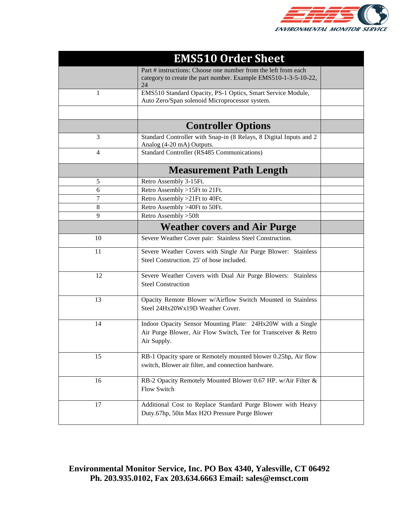

|    | <b>EMS510 Order Sheet</b>                                                                                                                    |  |
|----|----------------------------------------------------------------------------------------------------------------------------------------------|--|
|    | Part # instructions: Choose one number from the left from each<br>category to create the part number. Example EMS510-1-3-5-10-22,<br>24      |  |
| 1  | EMS510 Standard Opacity, PS-1 Optics, Smart Service Module,<br>Auto Zero/Span solenoid Microprocessor system.                                |  |
|    |                                                                                                                                              |  |
|    | <b>Controller Options</b>                                                                                                                    |  |
| 3  | Standard Controller with Snap-in (8 Relays, 8 Digital Inputs and 2<br>Analog (4-20 mA) Outputs.                                              |  |
| 4  | Standard Controller (RS485 Communications)                                                                                                   |  |
|    | <b>Measurement Path Length</b>                                                                                                               |  |
| 5  | Retro Assembly 3-15Ft.                                                                                                                       |  |
| 6  | Retro Assembly >15Ft to 21Ft.                                                                                                                |  |
| 7  | Retro Assembly > 21Ft to 40Ft.                                                                                                               |  |
| 8  | Retro Assembly >40Ft to 50Ft.                                                                                                                |  |
| 9  | Retro Assembly > 50ft                                                                                                                        |  |
|    | <b>Weather covers and Air Purge</b>                                                                                                          |  |
| 10 | Severe Weather Cover pair: Stainless Steel Construction.                                                                                     |  |
| 11 | Severe Weather Covers with Single Air Purge Blower: Stainless<br>Steel Construction. 25' of hose included.                                   |  |
| 12 | Severe Weather Covers with Dual Air Purge Blowers: Stainless<br><b>Steel Construction</b>                                                    |  |
| 13 | Opacity Remote Blower w/Airflow Switch Mounted in Stainless<br>Steel 24Hx20Wx19D Weather Cover.                                              |  |
| 14 | Indoor Opacity Sensor Mounting Plate: 24Hx20W with a Single<br>Air Purge Blower, Air Flow Switch, Tee for Transceiver & Retro<br>Air Supply. |  |
| 15 | RB-1 Opacity spare or Remotely mounted blower 0.25hp, Air flow<br>switch, Blower air filter, and connection hardware.                        |  |
| 16 | RB-2 Opacity Remotely Mounted Blower 0.67 HP. w/Air Filter &<br>Flow Switch                                                                  |  |
| 17 | Additional Cost to Replace Standard Purge Blower with Heavy<br>Duty.67hp, 50in Max H2O Pressure Purge Blower                                 |  |